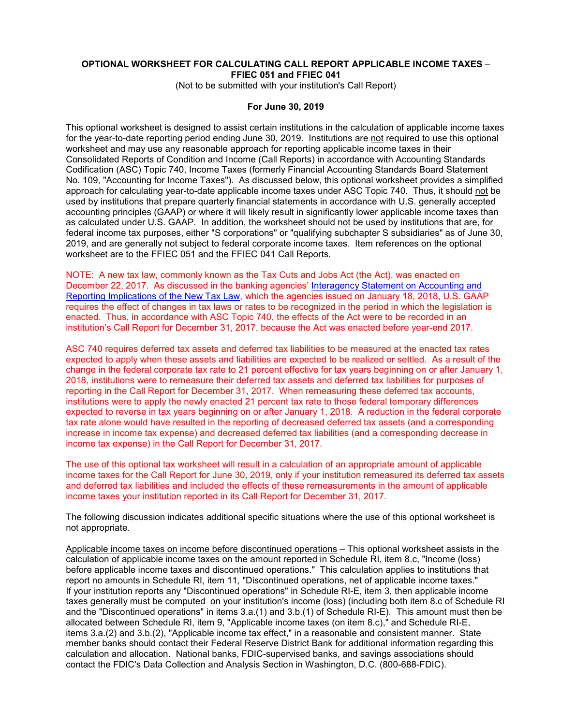### **OPTIONAL WORKSHEET FOR CALCULATING CALL REPORT APPLICABLE INCOME TAXES** – **FFIEC 051 and FFIEC 041**

(Not to be submitted with your institution's Call Report)

#### **For June 30, 2019**

This optional worksheet is designed to assist certain institutions in the calculation of applicable income taxes for the year-to-date reporting period ending June 30, 2019. Institutions are not required to use this optional worksheet and may use any reasonable approach for reporting applicable income taxes in their Consolidated Reports of Condition and Income (Call Reports) in accordance with Accounting Standards Codification (ASC) Topic 740, Income Taxes (formerly Financial Accounting Standards Board Statement No. 109, "Accounting for Income Taxes"). As discussed below, this optional worksheet provides a simplified approach for calculating year-to-date applicable income taxes under ASC Topic 740. Thus, it should not be used by institutions that prepare quarterly financial statements in accordance with U.S. generally accepted accounting principles (GAAP) or where it will likely result in significantly lower applicable income taxes than as calculated under U.S. GAAP. In addition, the worksheet should not be used by institutions that are, for federal income tax purposes, either "S corporations" or "qualifying subchapter S subsidiaries" as of June 30, 2019, and are generally not subject to federal corporate income taxes. Item references on the optional worksheet are to the FFIEC 051 and the FFIEC 041 Call Reports.

NOTE: A new tax law, commonly known as the Tax Cuts and Jobs Act (the Act), was enacted on December 22, 2017. As discussed in the banking agencies' [Interagency Statement on Accounting and](https://www.fdic.gov/news/news/financial/2018/fil18006a.pdf)  [Reporting Implications of the New Tax Law,](https://www.fdic.gov/news/news/financial/2018/fil18006a.pdf) which the agencies issued on January 18, 2018, U.S. GAAP requires the effect of changes in tax laws or rates to be recognized in the period in which the legislation is enacted. Thus, in accordance with ASC Topic 740, the effects of the Act were to be recorded in an institution's Call Report for December 31, 2017, because the Act was enacted before year-end 2017.

ASC 740 requires deferred tax assets and deferred tax liabilities to be measured at the enacted tax rates expected to apply when these assets and liabilities are expected to be realized or settled. As a result of the change in the federal corporate tax rate to 21 percent effective for tax years beginning on or after January 1, 2018, institutions were to remeasure their deferred tax assets and deferred tax liabilities for purposes of reporting in the Call Report for December 31, 2017. When remeasuring these deferred tax accounts, institutions were to apply the newly enacted 21 percent tax rate to those federal temporary differences expected to reverse in tax years beginning on or after January 1, 2018. A reduction in the federal corporate tax rate alone would have resulted in the reporting of decreased deferred tax assets (and a corresponding increase in income tax expense) and decreased deferred tax liabilities (and a corresponding decrease in income tax expense) in the Call Report for December 31, 2017.

The use of this optional tax worksheet will result in a calculation of an appropriate amount of applicable income taxes for the Call Report for June 30, 2019, only if your institution remeasured its deferred tax assets and deferred tax liabilities and included the effects of these remeasurements in the amount of applicable income taxes your institution reported in its Call Report for December 31, 2017.

The following discussion indicates additional specific situations where the use of this optional worksheet is not appropriate.

Applicable income taxes on income before discontinued operations – This optional worksheet assists in the calculation of applicable income taxes on the amount reported in Schedule RI, item 8.c, "Income (loss) before applicable income taxes and discontinued operations." This calculation applies to institutions that report no amounts in Schedule RI, item 11, "Discontinued operations, net of applicable income taxes." If your institution reports any "Discontinued operations" in Schedule RI-E, item 3, then applicable income taxes generally must be computed on your institution's income (loss) (including both item 8.c of Schedule RI and the "Discontinued operations" in items 3.a.(1) and 3.b.(1) of Schedule RI-E). This amount must then be allocated between Schedule RI, item 9, "Applicable income taxes (on item 8.c)," and Schedule RI-E, items 3.a.(2) and 3.b.(2), "Applicable income tax effect," in a reasonable and consistent manner. State member banks should contact their Federal Reserve District Bank for additional information regarding this calculation and allocation. National banks, FDIC-supervised banks, and savings associations should contact the FDIC's Data Collection and Analysis Section in Washington, D.C. (800-688-FDIC).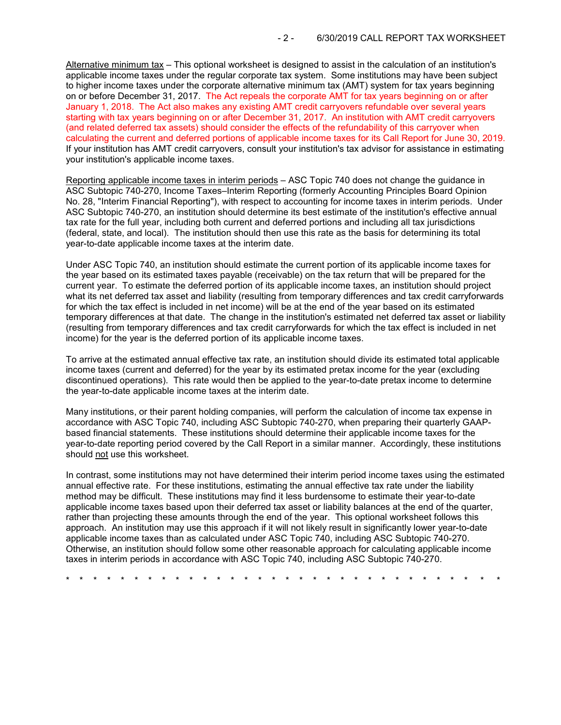Alternative minimum tax – This optional worksheet is designed to assist in the calculation of an institution's applicable income taxes under the regular corporate tax system. Some institutions may have been subject to higher income taxes under the corporate alternative minimum tax (AMT) system for tax years beginning on or before December 31, 2017. The Act repeals the corporate AMT for tax years beginning on or after January 1, 2018. The Act also makes any existing AMT credit carryovers refundable over several years starting with tax years beginning on or after December 31, 2017. An institution with AMT credit carryovers (and related deferred tax assets) should consider the effects of the refundability of this carryover when calculating the current and deferred portions of applicable income taxes for its Call Report for June 30, 2019. If your institution has AMT credit carryovers, consult your institution's tax advisor for assistance in estimating your institution's applicable income taxes.

Reporting applicable income taxes in interim periods – ASC Topic 740 does not change the guidance in ASC Subtopic 740-270, Income Taxes–Interim Reporting (formerly Accounting Principles Board Opinion No. 28, "Interim Financial Reporting"), with respect to accounting for income taxes in interim periods. Under ASC Subtopic 740-270, an institution should determine its best estimate of the institution's effective annual tax rate for the full year, including both current and deferred portions and including all tax jurisdictions (federal, state, and local). The institution should then use this rate as the basis for determining its total year-to-date applicable income taxes at the interim date.

Under ASC Topic 740, an institution should estimate the current portion of its applicable income taxes for the year based on its estimated taxes payable (receivable) on the tax return that will be prepared for the current year. To estimate the deferred portion of its applicable income taxes, an institution should project what its net deferred tax asset and liability (resulting from temporary differences and tax credit carryforwards for which the tax effect is included in net income) will be at the end of the year based on its estimated temporary differences at that date. The change in the institution's estimated net deferred tax asset or liability (resulting from temporary differences and tax credit carryforwards for which the tax effect is included in net income) for the year is the deferred portion of its applicable income taxes.

To arrive at the estimated annual effective tax rate, an institution should divide its estimated total applicable income taxes (current and deferred) for the year by its estimated pretax income for the year (excluding discontinued operations). This rate would then be applied to the year-to-date pretax income to determine the year-to-date applicable income taxes at the interim date.

Many institutions, or their parent holding companies, will perform the calculation of income tax expense in accordance with ASC Topic 740, including ASC Subtopic 740-270, when preparing their quarterly GAAPbased financial statements. These institutions should determine their applicable income taxes for the year-to-date reporting period covered by the Call Report in a similar manner. Accordingly, these institutions should not use this worksheet.

In contrast, some institutions may not have determined their interim period income taxes using the estimated annual effective rate. For these institutions, estimating the annual effective tax rate under the liability method may be difficult. These institutions may find it less burdensome to estimate their year-to-date applicable income taxes based upon their deferred tax asset or liability balances at the end of the quarter, rather than projecting these amounts through the end of the year. This optional worksheet follows this approach. An institution may use this approach if it will not likely result in significantly lower year-to-date applicable income taxes than as calculated under ASC Topic 740, including ASC Subtopic 740-270. Otherwise, an institution should follow some other reasonable approach for calculating applicable income taxes in interim periods in accordance with ASC Topic 740, including ASC Subtopic 740-270.

\* \* \* \* \* \* \* \* \* \* \* \* \* \* \* \* \* \* \* \* \* \* \* \* \* \* \* \* \* \* \* \*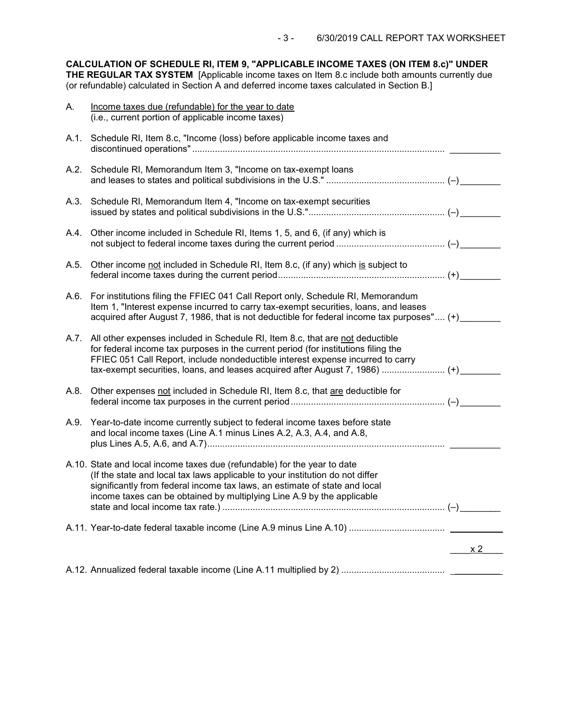**CALCULATION OF SCHEDULE RI, ITEM 9, "APPLICABLE INCOME TAXES (ON ITEM 8.c)" UNDER THE REGULAR TAX SYSTEM** [Applicable income taxes on Item 8.c include both amounts currently due (or refundable) calculated in Section A and deferred income taxes calculated in Section B.]

| А.   | Income taxes due (refundable) for the year to date<br>(i.e., current portion of applicable income taxes)                                                                                                                                                                                                                               |                |
|------|----------------------------------------------------------------------------------------------------------------------------------------------------------------------------------------------------------------------------------------------------------------------------------------------------------------------------------------|----------------|
| A.1. | Schedule RI, Item 8.c, "Income (loss) before applicable income taxes and                                                                                                                                                                                                                                                               |                |
| A.2. | Schedule RI, Memorandum Item 3, "Income on tax-exempt loans                                                                                                                                                                                                                                                                            |                |
| A.3. | Schedule RI, Memorandum Item 4, "Income on tax-exempt securities                                                                                                                                                                                                                                                                       |                |
| A.4. | Other income included in Schedule RI, Items 1, 5, and 6, (if any) which is                                                                                                                                                                                                                                                             |                |
| A.5. | Other income not included in Schedule RI, Item 8.c, (if any) which is subject to                                                                                                                                                                                                                                                       |                |
| A.6. | For institutions filing the FFIEC 041 Call Report only, Schedule RI, Memorandum<br>Item 1, "Interest expense incurred to carry tax-exempt securities, loans, and leases<br>acquired after August 7, 1986, that is not deductible for federal income tax purposes" (+)                                                                  |                |
| A.7. | All other expenses included in Schedule RI, Item 8.c, that are not deductible<br>for federal income tax purposes in the current period (for institutions filing the<br>FFIEC 051 Call Report, include nondeductible interest expense incurred to carry<br>tax-exempt securities, loans, and leases acquired after August 7, 1986)  (+) |                |
| A.8. | Other expenses not included in Schedule RI, Item 8.c, that are deductible for                                                                                                                                                                                                                                                          |                |
| A.9. | Year-to-date income currently subject to federal income taxes before state<br>and local income taxes (Line A.1 minus Lines A.2, A.3, A.4, and A.8,                                                                                                                                                                                     |                |
|      | A.10. State and local income taxes due (refundable) for the year to date<br>(If the state and local tax laws applicable to your institution do not differ<br>significantly from federal income tax laws, an estimate of state and local<br>income taxes can be obtained by multiplying Line A.9 by the applicable                      |                |
|      |                                                                                                                                                                                                                                                                                                                                        |                |
|      |                                                                                                                                                                                                                                                                                                                                        | x <sub>2</sub> |
|      |                                                                                                                                                                                                                                                                                                                                        |                |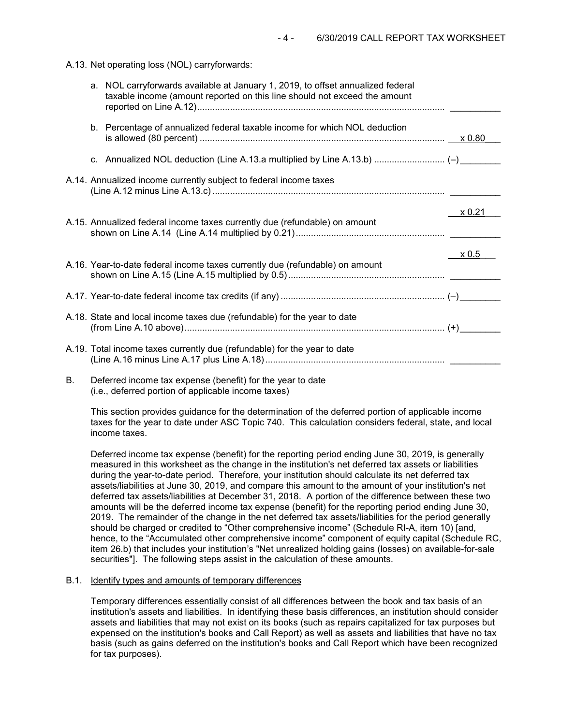A.13. Net operating loss (NOL) carryforwards:

|  | a. NOL carryforwards available at January 1, 2019, to offset annualized federal<br>taxable income (amount reported on this line should not exceed the amount |              |
|--|--------------------------------------------------------------------------------------------------------------------------------------------------------------|--------------|
|  | b. Percentage of annualized federal taxable income for which NOL deduction                                                                                   |              |
|  |                                                                                                                                                              |              |
|  | A.14. Annualized income currently subject to federal income taxes                                                                                            |              |
|  | A.15. Annualized federal income taxes currently due (refundable) on amount                                                                                   | x 0.21       |
|  | A.16. Year-to-date federal income taxes currently due (refundable) on amount                                                                                 | $\times 0.5$ |
|  |                                                                                                                                                              |              |
|  | A.18. State and local income taxes due (refundable) for the year to date                                                                                     |              |
|  | A.19. Total income taxes currently due (refundable) for the year to date                                                                                     |              |

B. Deferred income tax expense (benefit) for the year to date (i.e., deferred portion of applicable income taxes)

This section provides guidance for the determination of the deferred portion of applicable income taxes for the year to date under ASC Topic 740. This calculation considers federal, state, and local income taxes.

Deferred income tax expense (benefit) for the reporting period ending June 30, 2019, is generally measured in this worksheet as the change in the institution's net deferred tax assets or liabilities during the year-to-date period. Therefore, your institution should calculate its net deferred tax assets/liabilities at June 30, 2019, and compare this amount to the amount of your institution's net deferred tax assets/liabilities at December 31, 2018. A portion of the difference between these two amounts will be the deferred income tax expense (benefit) for the reporting period ending June 30, 2019. The remainder of the change in the net deferred tax assets/liabilities for the period generally should be charged or credited to "Other comprehensive income" (Schedule RI-A, item 10) [and, hence, to the "Accumulated other comprehensive income" component of equity capital (Schedule RC, item 26.b) that includes your institution's "Net unrealized holding gains (losses) on available-for-sale securities"]. The following steps assist in the calculation of these amounts.

### B.1. Identify types and amounts of temporary differences

Temporary differences essentially consist of all differences between the book and tax basis of an institution's assets and liabilities. In identifying these basis differences, an institution should consider assets and liabilities that may not exist on its books (such as repairs capitalized for tax purposes but expensed on the institution's books and Call Report) as well as assets and liabilities that have no tax basis (such as gains deferred on the institution's books and Call Report which have been recognized for tax purposes).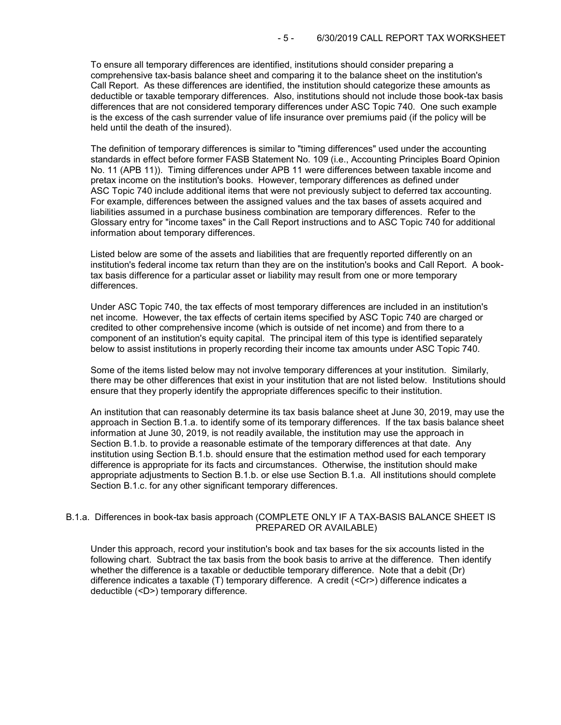To ensure all temporary differences are identified, institutions should consider preparing a comprehensive tax-basis balance sheet and comparing it to the balance sheet on the institution's Call Report. As these differences are identified, the institution should categorize these amounts as deductible or taxable temporary differences. Also, institutions should not include those book-tax basis differences that are not considered temporary differences under ASC Topic 740. One such example is the excess of the cash surrender value of life insurance over premiums paid (if the policy will be held until the death of the insured).

The definition of temporary differences is similar to "timing differences" used under the accounting standards in effect before former FASB Statement No. 109 (i.e., Accounting Principles Board Opinion No. 11 (APB 11)). Timing differences under APB 11 were differences between taxable income and pretax income on the institution's books. However, temporary differences as defined under ASC Topic 740 include additional items that were not previously subject to deferred tax accounting. For example, differences between the assigned values and the tax bases of assets acquired and liabilities assumed in a purchase business combination are temporary differences. Refer to the Glossary entry for "income taxes" in the Call Report instructions and to ASC Topic 740 for additional information about temporary differences.

Listed below are some of the assets and liabilities that are frequently reported differently on an institution's federal income tax return than they are on the institution's books and Call Report. A booktax basis difference for a particular asset or liability may result from one or more temporary differences.

Under ASC Topic 740, the tax effects of most temporary differences are included in an institution's net income. However, the tax effects of certain items specified by ASC Topic 740 are charged or credited to other comprehensive income (which is outside of net income) and from there to a component of an institution's equity capital. The principal item of this type is identified separately below to assist institutions in properly recording their income tax amounts under ASC Topic 740.

Some of the items listed below may not involve temporary differences at your institution. Similarly, there may be other differences that exist in your institution that are not listed below. Institutions should ensure that they properly identify the appropriate differences specific to their institution.

An institution that can reasonably determine its tax basis balance sheet at June 30, 2019, may use the approach in Section B.1.a. to identify some of its temporary differences. If the tax basis balance sheet information at June 30, 2019, is not readily available, the institution may use the approach in Section B.1.b. to provide a reasonable estimate of the temporary differences at that date. Any institution using Section B.1.b. should ensure that the estimation method used for each temporary difference is appropriate for its facts and circumstances. Otherwise, the institution should make appropriate adjustments to Section B.1.b. or else use Section B.1.a. All institutions should complete Section B.1.c. for any other significant temporary differences.

### B.1.a. Differences in book-tax basis approach (COMPLETE ONLY IF A TAX-BASIS BALANCE SHEET IS PREPARED OR AVAILABLE)

Under this approach, record your institution's book and tax bases for the six accounts listed in the following chart. Subtract the tax basis from the book basis to arrive at the difference. Then identify whether the difference is a taxable or deductible temporary difference. Note that a debit (Dr) difference indicates a taxable (T) temporary difference. A credit (<Cr>) difference indicates a deductible (<D>) temporary difference.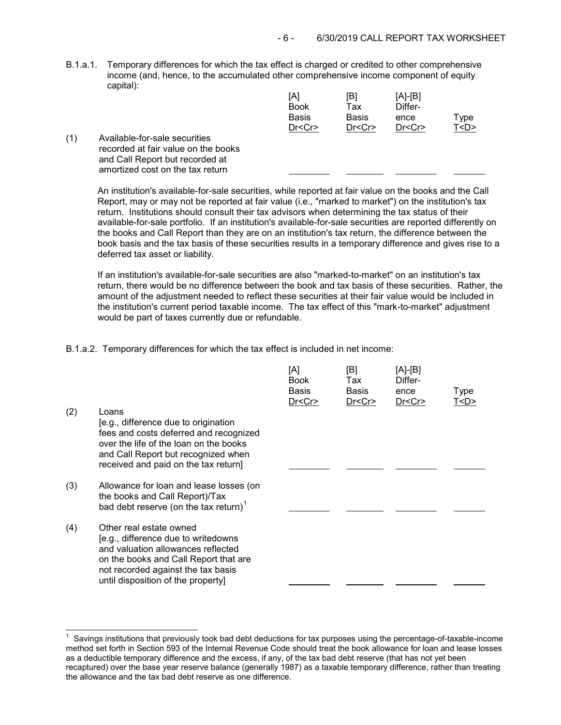B.1.a.1. Temporary differences for which the tax effect is charged or credited to other comprehensive income (and, hence, to the accumulated other comprehensive income component of equity capital):

|     |                                                                                                                                             | [A]<br><b>Book</b><br><b>Basis</b><br>Dr <cr></cr> | [B]<br>Тах<br><b>Basis</b><br>Dr < Cr | [A]-[B]<br>Differ-<br>ence<br>Dr < Cr | Type<br>T <d></d> |
|-----|---------------------------------------------------------------------------------------------------------------------------------------------|----------------------------------------------------|---------------------------------------|---------------------------------------|-------------------|
| (1) | Available-for-sale securities<br>recorded at fair value on the books<br>and Call Report but recorded at<br>amortized cost on the tax return |                                                    |                                       |                                       |                   |

An institution's available-for-sale securities, while reported at fair value on the books and the Call Report, may or may not be reported at fair value (i.e., "marked to market") on the institution's tax return. Institutions should consult their tax advisors when determining the tax status of their available-for-sale portfolio. If an institution's available-for-sale securities are reported differently on the books and Call Report than they are on an institution's tax return, the difference between the book basis and the tax basis of these securities results in a temporary difference and gives rise to a deferred tax asset or liability.

If an institution's available-for-sale securities are also "marked-to-market" on an institution's tax return, there would be no difference between the book and tax basis of these securities. Rather, the amount of the adjustment needed to reflect these securities at their fair value would be included in the institution's current period taxable income. The tax effect of this "mark-to-market" adjustment would be part of taxes currently due or refundable.

B.1.a.2. Temporary differences for which the tax effect is included in net income:

| (2) | Loans<br>[e.g., difference due to origination<br>fees and costs deferred and recognized<br>over the life of the loan on the books<br>and Call Report but recognized when<br>received and paid on the tax return]          | [A]<br><b>Book</b><br>Basis<br>Dr < Cr | [B]<br>Tax<br><b>Basis</b><br>Dr < Cr | [A]-[B]<br>Differ-<br>ence<br>Dr < Cr | Type<br>T <d></d> |
|-----|---------------------------------------------------------------------------------------------------------------------------------------------------------------------------------------------------------------------------|----------------------------------------|---------------------------------------|---------------------------------------|-------------------|
| (3) | Allowance for loan and lease losses (on<br>the books and Call Report)/Tax<br>bad debt reserve (on the tax return) <sup>1</sup>                                                                                            |                                        |                                       |                                       |                   |
| (4) | Other real estate owned<br>[e.g., difference due to writedowns<br>and valuation allowances reflected<br>on the books and Call Report that are<br>not recorded against the tax basis<br>until disposition of the property] |                                        |                                       |                                       |                   |

<span id="page-5-0"></span><sup>|&</sup>lt;br>1 Savings institutions that previously took bad debt deductions for tax purposes using the percentage-of-taxable-income method set forth in Section 593 of the Internal Revenue Code should treat the book allowance for loan and lease losses as a deductible temporary difference and the excess, if any, of the tax bad debt reserve (that has not yet been recaptured) over the base year reserve balance (generally 1987) as a taxable temporary difference, rather than treating the allowance and the tax bad debt reserve as one difference.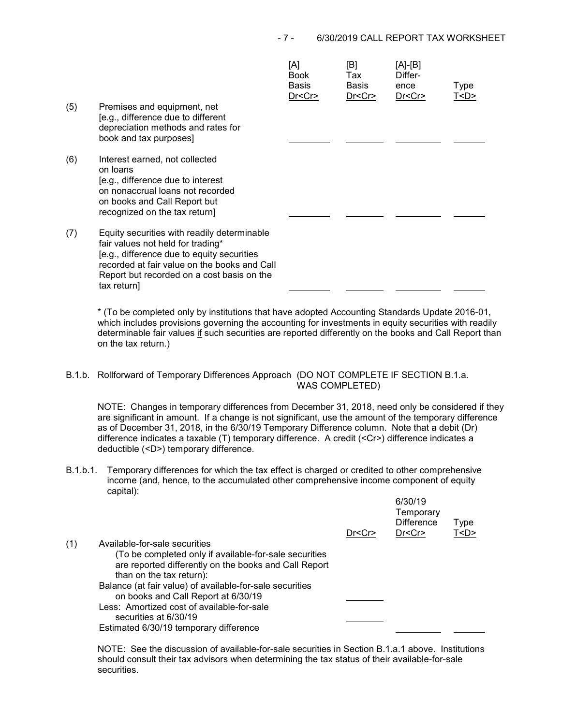# - 7 - 6/30/2019 CALL REPORT TAX WORKSHEET

|     |                                                                                                                                                                                                                                             | [A]<br><b>Book</b><br><b>Basis</b><br>Dr < Cr | [B]<br>Tax<br>Basis<br>Dr <cr></cr> | [A]-[B]<br>Differ-<br>ence<br>Dr < Cr | Type<br>T <d></d> |
|-----|---------------------------------------------------------------------------------------------------------------------------------------------------------------------------------------------------------------------------------------------|-----------------------------------------------|-------------------------------------|---------------------------------------|-------------------|
| (5) | Premises and equipment, net<br>[e.g., difference due to different<br>depreciation methods and rates for<br>book and tax purposes]                                                                                                           |                                               |                                     |                                       |                   |
| (6) | Interest earned, not collected<br>on loans<br>[e.g., difference due to interest<br>on nonaccrual loans not recorded<br>on books and Call Report but<br>recognized on the tax return]                                                        |                                               |                                     |                                       |                   |
| (7) | Equity securities with readily determinable<br>fair values not held for trading*<br>[e.g., difference due to equity securities<br>recorded at fair value on the books and Call<br>Report but recorded on a cost basis on the<br>tax return] |                                               |                                     |                                       |                   |

\* (To be completed only by institutions that have adopted Accounting Standards Update 2016-01, which includes provisions governing the accounting for investments in equity securities with readily determinable fair values if such securities are reported differently on the books and Call Report than on the tax return.)

# B.1.b. Rollforward of Temporary Differences Approach (DO NOT COMPLETE IF SECTION B.1.a. WAS COMPLETED)

NOTE: Changes in temporary differences from December 31, 2018, need only be considered if they are significant in amount. If a change is not significant, use the amount of the temporary difference as of December 31, 2018, in the 6/30/19 Temporary Difference column. Note that a debit (Dr) difference indicates a taxable (T) temporary difference. A credit (<Cr>) difference indicates a deductible (<D>) temporary difference.

B.1.b.1. Temporary differences for which the tax effect is charged or credited to other comprehensive income (and, hence, to the accumulated other comprehensive income component of equity capital):  $6/20/140$ 

|     |                                                                                                                                             | Dr < Cr | 07907.19<br>Temporary<br><b>Difference</b><br>Dr < Cr | Type<br>T < D |  |
|-----|---------------------------------------------------------------------------------------------------------------------------------------------|---------|-------------------------------------------------------|---------------|--|
| (1) | Available-for-sale securities                                                                                                               |         |                                                       |               |  |
|     | (To be completed only if available-for-sale securities<br>are reported differently on the books and Call Report<br>than on the tax return): |         |                                                       |               |  |
|     | Balance (at fair value) of available-for-sale securities<br>on books and Call Report at 6/30/19                                             |         |                                                       |               |  |
|     | Less: Amortized cost of available-for-sale                                                                                                  |         |                                                       |               |  |
|     | securities at 6/30/19                                                                                                                       |         |                                                       |               |  |
|     | Estimated 6/30/19 temporary difference                                                                                                      |         |                                                       |               |  |
|     |                                                                                                                                             |         |                                                       |               |  |

NOTE: See the discussion of available-for-sale securities in Section B.1.a.1 above. Institutions should consult their tax advisors when determining the tax status of their available-for-sale securities.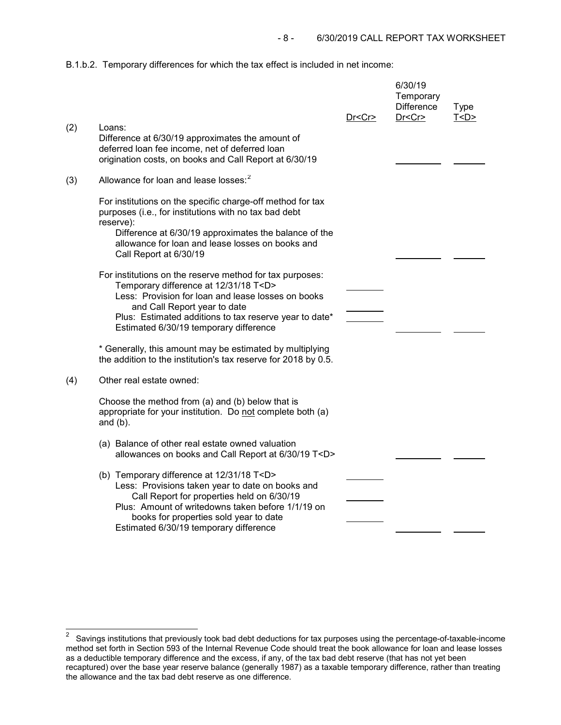B.1.b.2. Temporary differences for which the tax effect is included in net income:

|     |                                                                                                                                                                                                                                                                                                      | Dr < Cr | 6/30/19<br>Temporary<br><b>Difference</b><br>Dr <cr></cr> | Type<br>T < D > |
|-----|------------------------------------------------------------------------------------------------------------------------------------------------------------------------------------------------------------------------------------------------------------------------------------------------------|---------|-----------------------------------------------------------|-----------------|
| (2) | Loans:<br>Difference at 6/30/19 approximates the amount of<br>deferred loan fee income, net of deferred loan<br>origination costs, on books and Call Report at 6/30/19                                                                                                                               |         |                                                           |                 |
| (3) | Allowance for loan and lease losses: <sup>2</sup>                                                                                                                                                                                                                                                    |         |                                                           |                 |
|     | For institutions on the specific charge-off method for tax<br>purposes (i.e., for institutions with no tax bad debt<br>reserve):<br>Difference at 6/30/19 approximates the balance of the<br>allowance for loan and lease losses on books and<br>Call Report at 6/30/19                              |         |                                                           |                 |
|     | For institutions on the reserve method for tax purposes:<br>Temporary difference at 12/31/18 T <d><br/>Less: Provision for loan and lease losses on books<br/>and Call Report year to date<br/>Plus: Estimated additions to tax reserve year to date*<br/>Estimated 6/30/19 temporary difference</d> |         |                                                           |                 |
|     | * Generally, this amount may be estimated by multiplying<br>the addition to the institution's tax reserve for 2018 by 0.5.                                                                                                                                                                           |         |                                                           |                 |
| (4) | Other real estate owned:                                                                                                                                                                                                                                                                             |         |                                                           |                 |
|     | Choose the method from (a) and (b) below that is<br>appropriate for your institution. Do not complete both (a)<br>and $(b)$ .                                                                                                                                                                        |         |                                                           |                 |
|     | (a) Balance of other real estate owned valuation<br>allowances on books and Call Report at 6/30/19 T <d></d>                                                                                                                                                                                         |         |                                                           |                 |
|     | (b) Temporary difference at 12/31/18 T <d><br/>Less: Provisions taken year to date on books and<br/>Call Report for properties held on 6/30/19<br/>Plus: Amount of writedowns taken before 1/1/19 on<br/>books for properties sold year to date<br/>Estimated 6/30/19 temporary difference</d>       |         |                                                           |                 |

<span id="page-7-0"></span> $2$  Savings institutions that previously took bad debt deductions for tax purposes using the percentage-of-taxable-income method set forth in Section 593 of the Internal Revenue Code should treat the book allowance for loan and lease losses as a deductible temporary difference and the excess, if any, of the tax bad debt reserve (that has not yet been recaptured) over the base year reserve balance (generally 1987) as a taxable temporary difference, rather than treating the allowance and the tax bad debt reserve as one difference.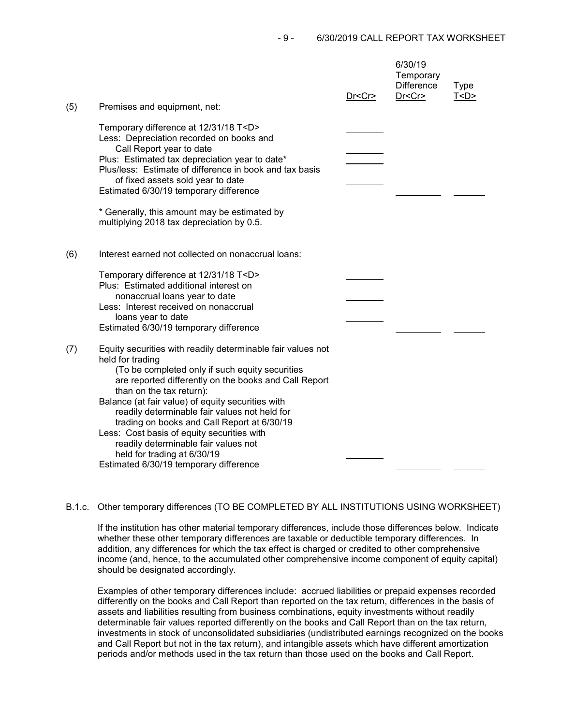| (5) | Premises and equipment, net:                                                                                                                                                                                                                                                                                                                                                                                                                                                                                                                | Dr < Cr | 6/30/19<br>Temporary<br><b>Difference</b><br>Dr <cr></cr> | <b>Type</b><br>T < D |
|-----|---------------------------------------------------------------------------------------------------------------------------------------------------------------------------------------------------------------------------------------------------------------------------------------------------------------------------------------------------------------------------------------------------------------------------------------------------------------------------------------------------------------------------------------------|---------|-----------------------------------------------------------|----------------------|
|     | Temporary difference at 12/31/18 T <d><br/>Less: Depreciation recorded on books and<br/>Call Report year to date<br/>Plus: Estimated tax depreciation year to date*<br/>Plus/less: Estimate of difference in book and tax basis<br/>of fixed assets sold year to date<br/>Estimated 6/30/19 temporary difference<br/>* Generally, this amount may be estimated by<br/>multiplying 2018 tax depreciation by 0.5.</d>                                                                                                                         |         |                                                           |                      |
| (6) | Interest earned not collected on nonaccrual loans:<br>Temporary difference at 12/31/18 T <d><br/>Plus: Estimated additional interest on<br/>nonaccrual loans year to date<br/>Less: Interest received on nonaccrual<br/>loans year to date<br/>Estimated 6/30/19 temporary difference</d>                                                                                                                                                                                                                                                   |         |                                                           |                      |
| (7) | Equity securities with readily determinable fair values not<br>held for trading<br>(To be completed only if such equity securities<br>are reported differently on the books and Call Report<br>than on the tax return):<br>Balance (at fair value) of equity securities with<br>readily determinable fair values not held for<br>trading on books and Call Report at 6/30/19<br>Less: Cost basis of equity securities with<br>readily determinable fair values not<br>held for trading at 6/30/19<br>Estimated 6/30/19 temporary difference |         |                                                           |                      |

#### B.1.c. Other temporary differences (TO BE COMPLETED BY ALL INSTITUTIONS USING WORKSHEET)

If the institution has other material temporary differences, include those differences below. Indicate whether these other temporary differences are taxable or deductible temporary differences. In addition, any differences for which the tax effect is charged or credited to other comprehensive income (and, hence, to the accumulated other comprehensive income component of equity capital) should be designated accordingly.

Examples of other temporary differences include: accrued liabilities or prepaid expenses recorded differently on the books and Call Report than reported on the tax return, differences in the basis of assets and liabilities resulting from business combinations, equity investments without readily determinable fair values reported differently on the books and Call Report than on the tax return, investments in stock of unconsolidated subsidiaries (undistributed earnings recognized on the books and Call Report but not in the tax return), and intangible assets which have different amortization periods and/or methods used in the tax return than those used on the books and Call Report.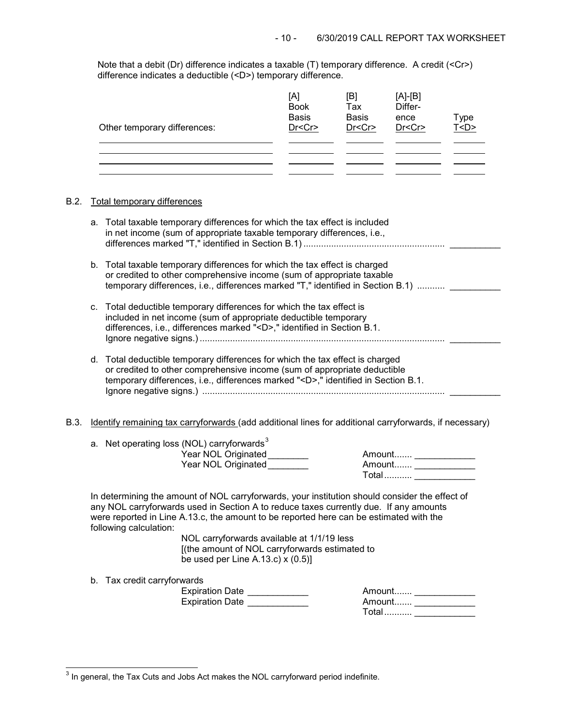Note that a debit (Dr) difference indicates a taxable (T) temporary difference. A credit (<Cr>) difference indicates a deductible (<D>) temporary difference.

| Other temporary differences: | [A]<br><b>Book</b><br><b>Basis</b><br>Dr <cr></cr> | [B]<br>Tax<br><b>Basis</b><br>Dr <cr></cr> | $[A]-[B]$<br>Differ-<br>ence<br>Dr < Cr | Type<br>T <d></d> |
|------------------------------|----------------------------------------------------|--------------------------------------------|-----------------------------------------|-------------------|
|                              |                                                    |                                            |                                         |                   |
|                              |                                                    |                                            |                                         |                   |

# B.2. Total temporary differences

|      | а. | Total taxable temporary differences for which the tax effect is included<br>in net income (sum of appropriate taxable temporary differences, i.e.,                                                                                                                                                                                                                                                                                               |
|------|----|--------------------------------------------------------------------------------------------------------------------------------------------------------------------------------------------------------------------------------------------------------------------------------------------------------------------------------------------------------------------------------------------------------------------------------------------------|
|      |    | b. Total taxable temporary differences for which the tax effect is charged<br>or credited to other comprehensive income (sum of appropriate taxable<br>temporary differences, i.e., differences marked "T," identified in Section B.1)                                                                                                                                                                                                           |
|      |    | c. Total deductible temporary differences for which the tax effect is<br>included in net income (sum of appropriate deductible temporary<br>differences, i.e., differences marked " <d>," identified in Section B.1.</d>                                                                                                                                                                                                                         |
|      |    | d. Total deductible temporary differences for which the tax effect is charged<br>or credited to other comprehensive income (sum of appropriate deductible<br>temporary differences, i.e., differences marked " <d>," identified in Section B.1.</d>                                                                                                                                                                                              |
| B.3. |    | Identify remaining tax carryforwards (add additional lines for additional carryforwards, if necessary)                                                                                                                                                                                                                                                                                                                                           |
|      |    | a. Net operating loss (NOL) carryforwards <sup>3</sup><br>Year NOL Originated_______<br>Amount _______________<br>Year NOL Originated________<br>Amount _______________<br>Total  ______________                                                                                                                                                                                                                                                 |
|      |    | In determining the amount of NOL carryforwards, your institution should consider the effect of<br>any NOL carryforwards used in Section A to reduce taxes currently due. If any amounts<br>were reported in Line A.13.c, the amount to be reported here can be estimated with the<br>following calculation:<br>NOL carryforwards available at 1/1/19 less<br>[(the amount of NOL carryforwards estimated to<br>be used per Line A.13.c) $x(0.5)$ |
|      |    | b. Tax credit carryforwards<br>Expiration Date ____________<br>Amount ______________<br>Expiration Date<br>Total  ______________                                                                                                                                                                                                                                                                                                                 |

<span id="page-9-0"></span> $3$  In general, the Tax Cuts and Jobs Act makes the NOL carryforward period indefinite.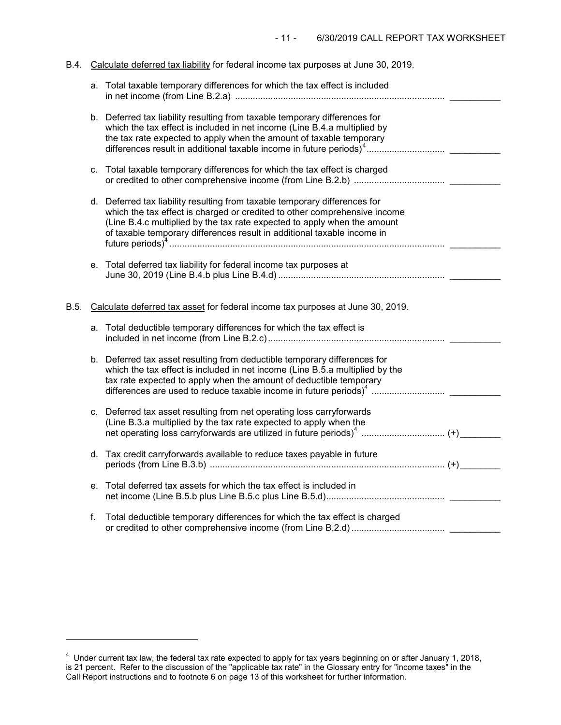# B.4. Calculate deferred tax liability for federal income tax purposes at June 30, 2019.

|      |    | a. Total taxable temporary differences for which the tax effect is included                                                                                                                                                                                                                                    |
|------|----|----------------------------------------------------------------------------------------------------------------------------------------------------------------------------------------------------------------------------------------------------------------------------------------------------------------|
|      |    | b. Deferred tax liability resulting from taxable temporary differences for<br>which the tax effect is included in net income (Line B.4.a multiplied by<br>the tax rate expected to apply when the amount of taxable temporary                                                                                  |
|      | C. | Total taxable temporary differences for which the tax effect is charged                                                                                                                                                                                                                                        |
|      |    | d. Deferred tax liability resulting from taxable temporary differences for<br>which the tax effect is charged or credited to other comprehensive income<br>(Line B.4.c multiplied by the tax rate expected to apply when the amount<br>of taxable temporary differences result in additional taxable income in |
|      |    | e. Total deferred tax liability for federal income tax purposes at                                                                                                                                                                                                                                             |
| B.5. |    | Calculate deferred tax asset for federal income tax purposes at June 30, 2019.                                                                                                                                                                                                                                 |
|      |    | a. Total deductible temporary differences for which the tax effect is                                                                                                                                                                                                                                          |
|      |    | b. Deferred tax asset resulting from deductible temporary differences for<br>which the tax effect is included in net income (Line B.5.a multiplied by the<br>tax rate expected to apply when the amount of deductible temporary                                                                                |
|      | c. | Deferred tax asset resulting from net operating loss carryforwards<br>(Line B.3.a multiplied by the tax rate expected to apply when the                                                                                                                                                                        |
|      |    | d. Tax credit carryforwards available to reduce taxes payable in future                                                                                                                                                                                                                                        |
|      | е. | Total deferred tax assets for which the tax effect is included in                                                                                                                                                                                                                                              |
|      | f. | Total deductible temporary differences for which the tax effect is charged                                                                                                                                                                                                                                     |

-

<span id="page-10-0"></span><sup>&</sup>lt;sup>4</sup> Under current tax law, the federal tax rate expected to apply for tax years beginning on or after January 1, 2018, is 21 percent. Refer to the discussion of the "applicable tax rate" in the Glossary entry for "income taxes" in the Call Report instructions and to footnote 6 on page 13 of this worksheet for further information.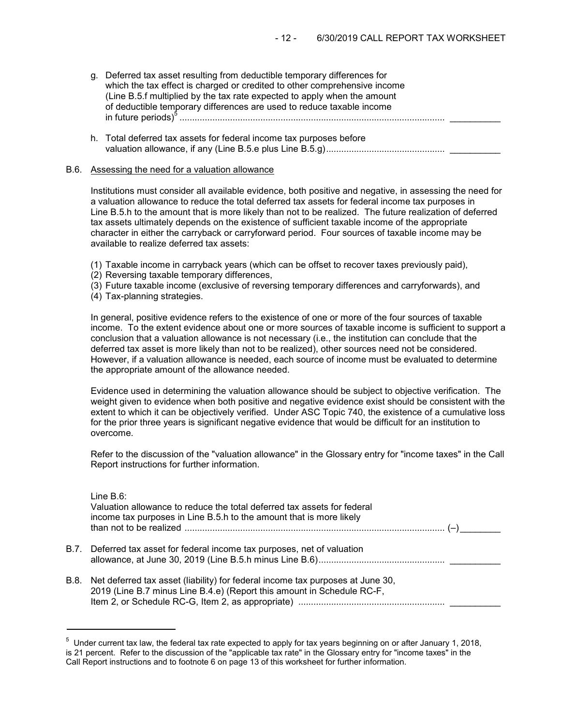- g. Deferred tax asset resulting from deductible temporary differences for which the tax effect is charged or credited to other comprehensive income (Line B.5.f multiplied by the tax rate expected to apply when the amount of deductible temporary differences are used to reduce taxable income in future periods)<sup>5</sup> ......................................................................................................... \_\_\_\_\_\_\_\_\_\_
- h. Total deferred tax assets for federal income tax purposes before valuation allowance, if any (Line B.5.e plus Line B.5.g)............................................... \_\_\_\_\_\_\_\_\_\_

#### B.6. Assessing the need for a valuation allowance

Institutions must consider all available evidence, both positive and negative, in assessing the need for a valuation allowance to reduce the total deferred tax assets for federal income tax purposes in Line B.5.h to the amount that is more likely than not to be realized. The future realization of deferred tax assets ultimately depends on the existence of sufficient taxable income of the appropriate character in either the carryback or carryforward period. Four sources of taxable income may be available to realize deferred tax assets:

- (1) Taxable income in carryback years (which can be offset to recover taxes previously paid),
- (2) Reversing taxable temporary differences,
- (3) Future taxable income (exclusive of reversing temporary differences and carryforwards), and
- (4) Tax-planning strategies.

In general, positive evidence refers to the existence of one or more of the four sources of taxable income. To the extent evidence about one or more sources of taxable income is sufficient to support a conclusion that a valuation allowance is not necessary (i.e., the institution can conclude that the deferred tax asset is more likely than not to be realized), other sources need not be considered. However, if a valuation allowance is needed, each source of income must be evaluated to determine the appropriate amount of the allowance needed.

Evidence used in determining the valuation allowance should be subject to objective verification. The weight given to evidence when both positive and negative evidence exist should be consistent with the extent to which it can be objectively verified. Under ASC Topic 740, the existence of a cumulative loss for the prior three years is significant negative evidence that would be difficult for an institution to overcome.

Refer to the discussion of the "valuation allowance" in the Glossary entry for "income taxes" in the Call Report instructions for further information.

| Line $B.6$ :<br>Valuation allowance to reduce the total deferred tax assets for federal<br>income tax purposes in Line B.5.h to the amount that is more likely |  |
|----------------------------------------------------------------------------------------------------------------------------------------------------------------|--|
| B.7. Deferred tax asset for federal income tax purposes, net of valuation                                                                                      |  |
| B.8. Net deferred tax asset (liability) for federal income tax purposes at June 30,<br>2019 (Line B.7 minus Line B.4.e) (Report this amount in Schedule RC-F,  |  |

 $^5$  Under current tax law, the federal tax rate expected to apply for tax years beginning on or after January 1, 2018, is 21 percent. Refer to the discussion of the "applicable tax rate" in the Glossary entry for "income taxes" in the Call Report instructions and to footnote 6 on page 13 of this worksheet for further information.